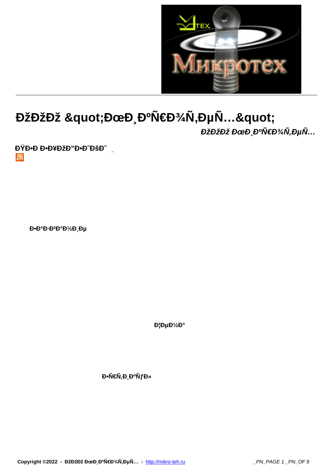

## ООĐž "ĐœĐ Đ°Ñ€Đ¾Ñ,еÑ..."

ООĐž ĐœĐ ĐºÑ€Đ¾Ñ,еÑ...

**ĐŸĐ**.D.D.PHDŽĐ"Đ.D.D.D. 5.

Đ.аĐ.ĐºĐ°Đ1/2Ре

 $D'D\mu D'/2D°$ 

Đ•Ñ€Ñ,Đ,ĐºÑfĐ»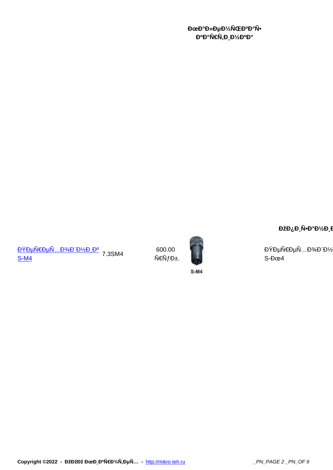**DOGED** P»PUPI/2NUCED PI  $\mathbf{B}^{\mathrm{o}}\mathbf{B}^{\mathrm{o}}\tilde{\mathbf{N}}\in\tilde{\mathbf{N}}, \mathbf{D}, \mathbf{D}^{\mathrm{v}}\in\mathbf{B}^{\mathrm{o}}$ 

*ΘΣ***<sub>2</sub>** *Ο<sub>2</sub> Ο<sub>2</sub><sup>D</sup><sub>2</sub> <i>Ο*<sub>2</sub> *Ο*<sub>2</sub>

Переходник S-M4 7.3SM4 600.00

 $\tilde{\mathsf{N}} \in \tilde{\mathsf{N}} f \mathsf{D} \pm$ .



ĐŸĐµÑ€ĐµÑ…Đ¾Đ´Đ½Đ¸<del>E</del><br>S-Đœ4

 $S-M4$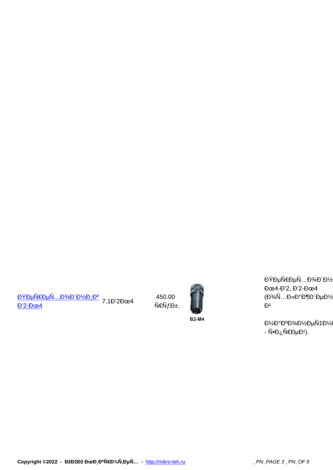<u>ĐŸĐµÑ€ĐµÑ…Đ¾Đ´Đ½Đ¸Đº</u> 7.1Đ'2Đœ4 <sup>450.00</sup><br>D'2-Đœ4 7.1Đ'2Đœ4 Ñ€Ñ*ƒ*Đ

 $Ñ€ÑfD±.$ 



**ĐΫĐμÑ€ĐμÑ...Đ¾Đ΄Đ½Đ,**  $D@4 - D'2, D'2 - D@4$  $(D\%N...D\%D^cD\P D^cD\$ в

Đ½Đ°Đ°Đ¾Đ½ĐµÑ‡Đ½Đ,Đ - Ñ•Đ¿Ñ€ĐμĐ<sup>1</sup>).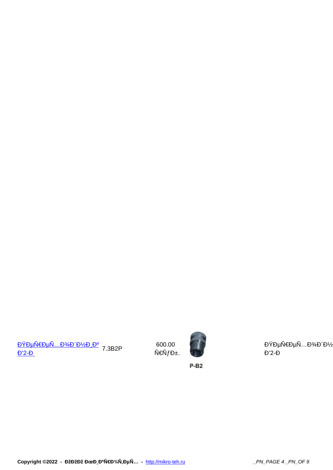Переходник Ð'2-Ð 7.3B2P 600.00

 $\tilde{\mathsf{N}} \in \tilde{\mathsf{N}} f \mathsf{D} \pm$ .



 $P-B2$ 

ĐŸĐµÑ€ĐµÑ…Đ¾Đ´Đ½Đ¸<del>E</del><br>Đ'2-Đ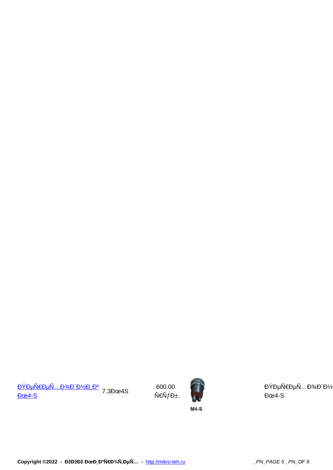Переходник М4-S 7.3М4S 600.00

 $Ñ€Ñfб.$ 



ĐŸĐµÑ€ĐµÑ…Đ¾Đ´Đ½Đ¸<del>E</del><br>Đœ4-S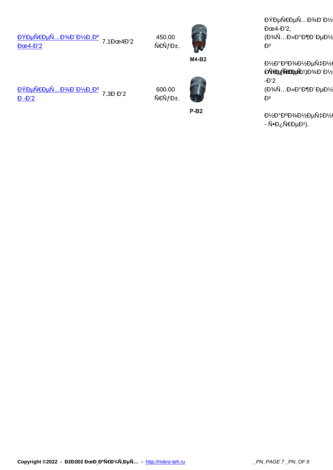| <u>ĐŸĐμÑ€ĐμÑ…Đ¾Đ´Đ½Đ¸Đº</u> 7.1Đœ4Đ'2<br>Dœ4-Đ'2 | 450.00<br>$N \in \tilde{N} f \Theta \pm 0$ | M4-B2 |
|--------------------------------------------------|--------------------------------------------|-------|
|                                                  |                                            |       |

Переходник Ð -Ð'2 7.3Ð Ð'2 600.00

 $N \in \tilde{N} f D \pm 0$ 



 $P-B2$ 

 $D024 - DZ,$  $(D\%N...D\%D^{\circ}D\P D^{\prime}D\mu D\%D)H$ в

Đ½Đ°Đ°Đ¾Đ½ĐµÑ‡Đ½Đ, E ĐÑ<del>Ũ</del>D{Ñ<del>ŒŨ</del>ŲŇĐ<sup>1</sup>)Đ¾Đ Đ½Đ E -Ð'2 (охлаждение в

 $e^{i\theta}$ +  $e^{i\theta}$ +  $e^{i\theta}$   $e^{i\theta}$  +  $e^{i\theta}$  +  $e^{i\theta}$  +  $e^{i\theta}$  +  $e^{i\theta}$  +  $e^{i\theta}$  +  $e^{i\theta}$  +  $e^{i\theta}$  +  $e^{i\theta}$  +  $e^{i\theta}$  +  $e^{i\theta}$  +  $e^{i\theta}$  +  $e^{i\theta}$  +  $e^{i\theta}$  +  $e^{i\theta}$  +  $e^{i\theta}$  +  $e^{i\theta}$  +  $e^{i\$ - Ñ•Đ¿Ñ€ĐμĐ<sup>1</sup>).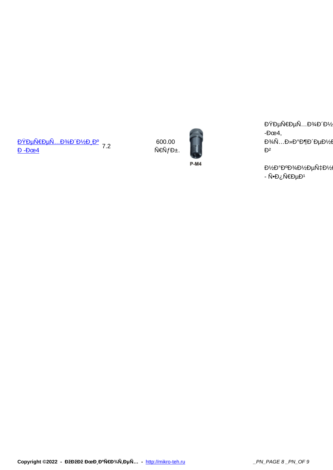Переходник Р-М4 7.2

 600.00  $N \in \tilde{N} f D \pm 1$ 



P-M4

ĐŸĐµÑ€ĐµÑ...Đ¾Đ Đ1⁄2Đ,  $-**D**$ ce4, Đ¾Ñ...лажРеĐ½Đ¸Đ в

 $-120°P°P^2AD/2D\mu\text{N}^{\dagger}P^2D\mu\text{N}^{\dagger}$ - Ñ•Đ¿Ñ€ĐµĐ<sup>1</sup>